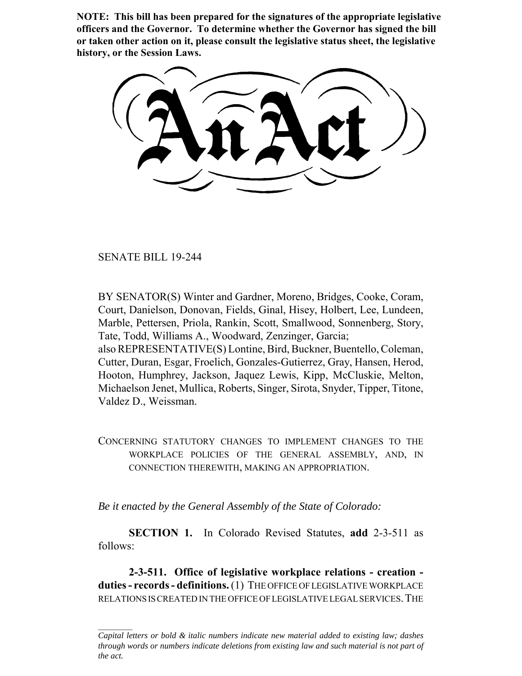**NOTE: This bill has been prepared for the signatures of the appropriate legislative officers and the Governor. To determine whether the Governor has signed the bill or taken other action on it, please consult the legislative status sheet, the legislative history, or the Session Laws.**

SENATE BILL 19-244

BY SENATOR(S) Winter and Gardner, Moreno, Bridges, Cooke, Coram, Court, Danielson, Donovan, Fields, Ginal, Hisey, Holbert, Lee, Lundeen, Marble, Pettersen, Priola, Rankin, Scott, Smallwood, Sonnenberg, Story, Tate, Todd, Williams A., Woodward, Zenzinger, Garcia; also REPRESENTATIVE(S) Lontine, Bird, Buckner, Buentello, Coleman, Cutter, Duran, Esgar, Froelich, Gonzales-Gutierrez, Gray, Hansen, Herod, Hooton, Humphrey, Jackson, Jaquez Lewis, Kipp, McCluskie, Melton, Michaelson Jenet, Mullica, Roberts, Singer, Sirota, Snyder, Tipper, Titone, Valdez D., Weissman.

CONCERNING STATUTORY CHANGES TO IMPLEMENT CHANGES TO THE WORKPLACE POLICIES OF THE GENERAL ASSEMBLY, AND, IN CONNECTION THEREWITH, MAKING AN APPROPRIATION.

*Be it enacted by the General Assembly of the State of Colorado:*

**SECTION 1.** In Colorado Revised Statutes, **add** 2-3-511 as follows:

**2-3-511. Office of legislative workplace relations - creation duties - records - definitions.** (1) THE OFFICE OF LEGISLATIVE WORKPLACE RELATIONS IS CREATED IN THE OFFICE OF LEGISLATIVE LEGAL SERVICES.THE

*Capital letters or bold & italic numbers indicate new material added to existing law; dashes through words or numbers indicate deletions from existing law and such material is not part of the act.*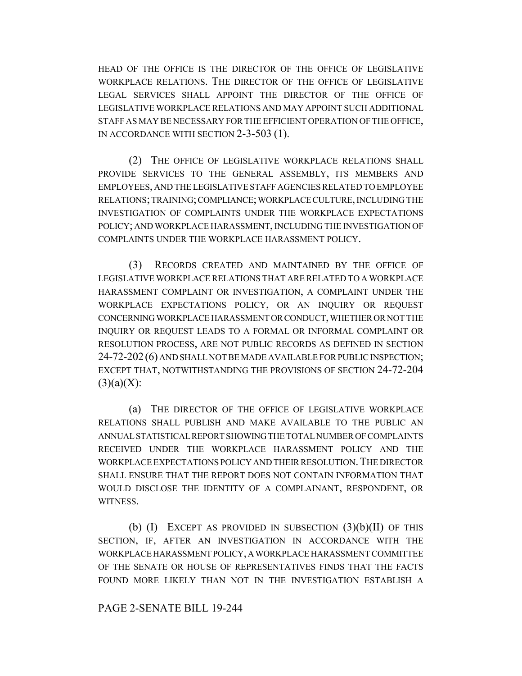HEAD OF THE OFFICE IS THE DIRECTOR OF THE OFFICE OF LEGISLATIVE WORKPLACE RELATIONS. THE DIRECTOR OF THE OFFICE OF LEGISLATIVE LEGAL SERVICES SHALL APPOINT THE DIRECTOR OF THE OFFICE OF LEGISLATIVE WORKPLACE RELATIONS AND MAY APPOINT SUCH ADDITIONAL STAFF AS MAY BE NECESSARY FOR THE EFFICIENT OPERATION OF THE OFFICE, IN ACCORDANCE WITH SECTION 2-3-503 (1).

(2) THE OFFICE OF LEGISLATIVE WORKPLACE RELATIONS SHALL PROVIDE SERVICES TO THE GENERAL ASSEMBLY, ITS MEMBERS AND EMPLOYEES, AND THE LEGISLATIVE STAFF AGENCIES RELATED TO EMPLOYEE RELATIONS; TRAINING; COMPLIANCE; WORKPLACE CULTURE, INCLUDING THE INVESTIGATION OF COMPLAINTS UNDER THE WORKPLACE EXPECTATIONS POLICY; AND WORKPLACE HARASSMENT, INCLUDING THE INVESTIGATION OF COMPLAINTS UNDER THE WORKPLACE HARASSMENT POLICY.

(3) RECORDS CREATED AND MAINTAINED BY THE OFFICE OF LEGISLATIVE WORKPLACE RELATIONS THAT ARE RELATED TO A WORKPLACE HARASSMENT COMPLAINT OR INVESTIGATION, A COMPLAINT UNDER THE WORKPLACE EXPECTATIONS POLICY, OR AN INQUIRY OR REQUEST CONCERNING WORKPLACE HARASSMENT OR CONDUCT, WHETHER OR NOT THE INQUIRY OR REQUEST LEADS TO A FORMAL OR INFORMAL COMPLAINT OR RESOLUTION PROCESS, ARE NOT PUBLIC RECORDS AS DEFINED IN SECTION 24-72-202(6) AND SHALL NOT BE MADE AVAILABLE FOR PUBLIC INSPECTION; EXCEPT THAT, NOTWITHSTANDING THE PROVISIONS OF SECTION 24-72-204  $(3)(a)(X)$ :

(a) THE DIRECTOR OF THE OFFICE OF LEGISLATIVE WORKPLACE RELATIONS SHALL PUBLISH AND MAKE AVAILABLE TO THE PUBLIC AN ANNUAL STATISTICAL REPORT SHOWING THE TOTAL NUMBER OF COMPLAINTS RECEIVED UNDER THE WORKPLACE HARASSMENT POLICY AND THE WORKPLACE EXPECTATIONS POLICY AND THEIR RESOLUTION.THE DIRECTOR SHALL ENSURE THAT THE REPORT DOES NOT CONTAIN INFORMATION THAT WOULD DISCLOSE THE IDENTITY OF A COMPLAINANT, RESPONDENT, OR WITNESS.

(b)  $(I)$  EXCEPT AS PROVIDED IN SUBSECTION  $(3)(b)(II)$  OF THIS SECTION, IF, AFTER AN INVESTIGATION IN ACCORDANCE WITH THE WORKPLACE HARASSMENT POLICY, A WORKPLACE HARASSMENT COMMITTEE OF THE SENATE OR HOUSE OF REPRESENTATIVES FINDS THAT THE FACTS FOUND MORE LIKELY THAN NOT IN THE INVESTIGATION ESTABLISH A

## PAGE 2-SENATE BILL 19-244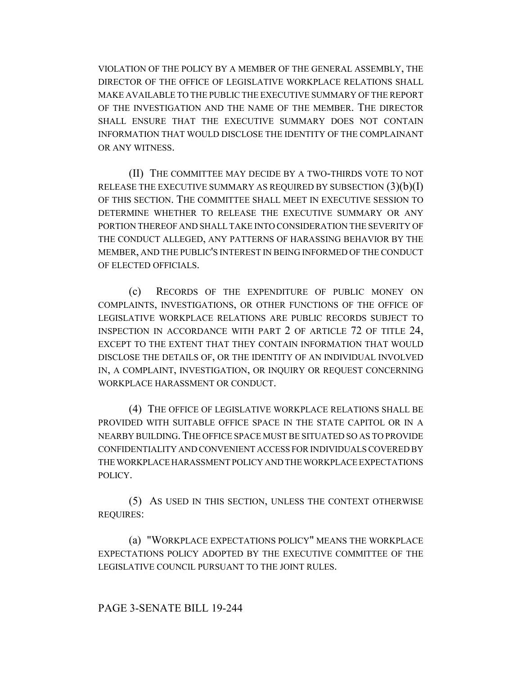VIOLATION OF THE POLICY BY A MEMBER OF THE GENERAL ASSEMBLY, THE DIRECTOR OF THE OFFICE OF LEGISLATIVE WORKPLACE RELATIONS SHALL MAKE AVAILABLE TO THE PUBLIC THE EXECUTIVE SUMMARY OF THE REPORT OF THE INVESTIGATION AND THE NAME OF THE MEMBER. THE DIRECTOR SHALL ENSURE THAT THE EXECUTIVE SUMMARY DOES NOT CONTAIN INFORMATION THAT WOULD DISCLOSE THE IDENTITY OF THE COMPLAINANT OR ANY WITNESS.

(II) THE COMMITTEE MAY DECIDE BY A TWO-THIRDS VOTE TO NOT RELEASE THE EXECUTIVE SUMMARY AS REQUIRED BY SUBSECTION  $(3)(b)(I)$ OF THIS SECTION. THE COMMITTEE SHALL MEET IN EXECUTIVE SESSION TO DETERMINE WHETHER TO RELEASE THE EXECUTIVE SUMMARY OR ANY PORTION THEREOF AND SHALL TAKE INTO CONSIDERATION THE SEVERITY OF THE CONDUCT ALLEGED, ANY PATTERNS OF HARASSING BEHAVIOR BY THE MEMBER, AND THE PUBLIC'S INTEREST IN BEING INFORMED OF THE CONDUCT OF ELECTED OFFICIALS.

(c) RECORDS OF THE EXPENDITURE OF PUBLIC MONEY ON COMPLAINTS, INVESTIGATIONS, OR OTHER FUNCTIONS OF THE OFFICE OF LEGISLATIVE WORKPLACE RELATIONS ARE PUBLIC RECORDS SUBJECT TO INSPECTION IN ACCORDANCE WITH PART 2 OF ARTICLE 72 OF TITLE 24, EXCEPT TO THE EXTENT THAT THEY CONTAIN INFORMATION THAT WOULD DISCLOSE THE DETAILS OF, OR THE IDENTITY OF AN INDIVIDUAL INVOLVED IN, A COMPLAINT, INVESTIGATION, OR INQUIRY OR REQUEST CONCERNING WORKPLACE HARASSMENT OR CONDUCT.

(4) THE OFFICE OF LEGISLATIVE WORKPLACE RELATIONS SHALL BE PROVIDED WITH SUITABLE OFFICE SPACE IN THE STATE CAPITOL OR IN A NEARBY BUILDING.THE OFFICE SPACE MUST BE SITUATED SO AS TO PROVIDE CONFIDENTIALITY AND CONVENIENT ACCESS FOR INDIVIDUALS COVERED BY THE WORKPLACE HARASSMENT POLICY AND THE WORKPLACE EXPECTATIONS POLICY.

(5) AS USED IN THIS SECTION, UNLESS THE CONTEXT OTHERWISE REQUIRES:

(a) "WORKPLACE EXPECTATIONS POLICY" MEANS THE WORKPLACE EXPECTATIONS POLICY ADOPTED BY THE EXECUTIVE COMMITTEE OF THE LEGISLATIVE COUNCIL PURSUANT TO THE JOINT RULES.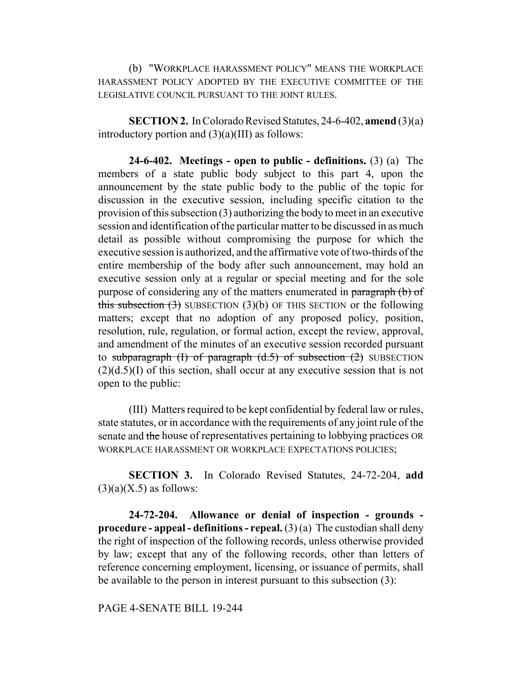(b) "WORKPLACE HARASSMENT POLICY" MEANS THE WORKPLACE HARASSMENT POLICY ADOPTED BY THE EXECUTIVE COMMITTEE OF THE LEGISLATIVE COUNCIL PURSUANT TO THE JOINT RULES.

**SECTION 2.** In Colorado Revised Statutes, 24-6-402, **amend** (3)(a) introductory portion and  $(3)(a)(III)$  as follows:

**24-6-402. Meetings - open to public - definitions.** (3) (a) The members of a state public body subject to this part 4, upon the announcement by the state public body to the public of the topic for discussion in the executive session, including specific citation to the provision of this subsection (3) authorizing the body to meet in an executive session and identification of the particular matter to be discussed in as much detail as possible without compromising the purpose for which the executive session is authorized, and the affirmative vote of two-thirds of the entire membership of the body after such announcement, may hold an executive session only at a regular or special meeting and for the sole purpose of considering any of the matters enumerated in paragraph (b) of this subsection  $(3)$  SUBSECTION  $(3)(b)$  OF THIS SECTION or the following matters; except that no adoption of any proposed policy, position, resolution, rule, regulation, or formal action, except the review, approval, and amendment of the minutes of an executive session recorded pursuant to subparagraph  $(I)$  of paragraph  $(d.5)$  of subsection  $(2)$  SUBSECTION  $(2)(d.5)(I)$  of this section, shall occur at any executive session that is not open to the public:

(III) Matters required to be kept confidential by federal law or rules, state statutes, or in accordance with the requirements of any joint rule of the senate and the house of representatives pertaining to lobbying practices OR WORKPLACE HARASSMENT OR WORKPLACE EXPECTATIONS POLICIES;

**SECTION 3.** In Colorado Revised Statutes, 24-72-204, **add**  $(3)(a)(X.5)$  as follows:

**24-72-204. Allowance or denial of inspection - grounds procedure - appeal - definitions - repeal.** (3) (a) The custodian shall deny the right of inspection of the following records, unless otherwise provided by law; except that any of the following records, other than letters of reference concerning employment, licensing, or issuance of permits, shall be available to the person in interest pursuant to this subsection (3):

PAGE 4-SENATE BILL 19-244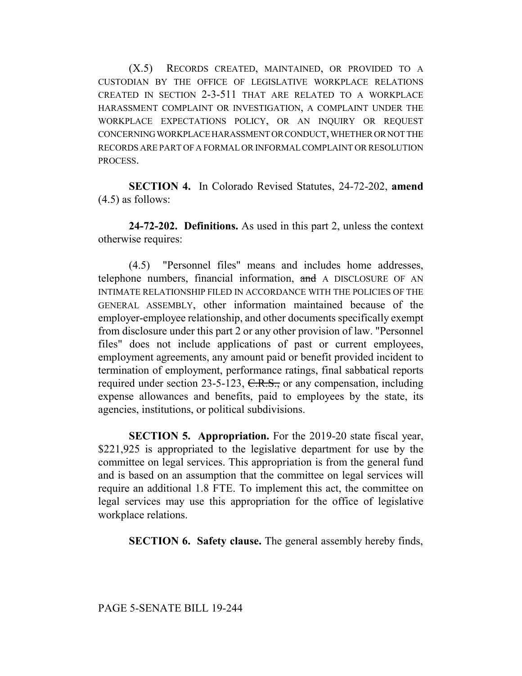(X.5) RECORDS CREATED, MAINTAINED, OR PROVIDED TO A CUSTODIAN BY THE OFFICE OF LEGISLATIVE WORKPLACE RELATIONS CREATED IN SECTION 2-3-511 THAT ARE RELATED TO A WORKPLACE HARASSMENT COMPLAINT OR INVESTIGATION, A COMPLAINT UNDER THE WORKPLACE EXPECTATIONS POLICY, OR AN INQUIRY OR REQUEST CONCERNING WORKPLACE HARASSMENT OR CONDUCT, WHETHER OR NOT THE RECORDS ARE PART OF A FORMAL OR INFORMAL COMPLAINT OR RESOLUTION PROCESS.

**SECTION 4.** In Colorado Revised Statutes, 24-72-202, **amend** (4.5) as follows:

**24-72-202. Definitions.** As used in this part 2, unless the context otherwise requires:

(4.5) "Personnel files" means and includes home addresses, telephone numbers, financial information, and A DISCLOSURE OF AN INTIMATE RELATIONSHIP FILED IN ACCORDANCE WITH THE POLICIES OF THE GENERAL ASSEMBLY, other information maintained because of the employer-employee relationship, and other documents specifically exempt from disclosure under this part 2 or any other provision of law. "Personnel files" does not include applications of past or current employees, employment agreements, any amount paid or benefit provided incident to termination of employment, performance ratings, final sabbatical reports required under section 23-5-123, C.R.S., or any compensation, including expense allowances and benefits, paid to employees by the state, its agencies, institutions, or political subdivisions.

**SECTION 5. Appropriation.** For the 2019-20 state fiscal year, \$221,925 is appropriated to the legislative department for use by the committee on legal services. This appropriation is from the general fund and is based on an assumption that the committee on legal services will require an additional 1.8 FTE. To implement this act, the committee on legal services may use this appropriation for the office of legislative workplace relations.

**SECTION 6. Safety clause.** The general assembly hereby finds,